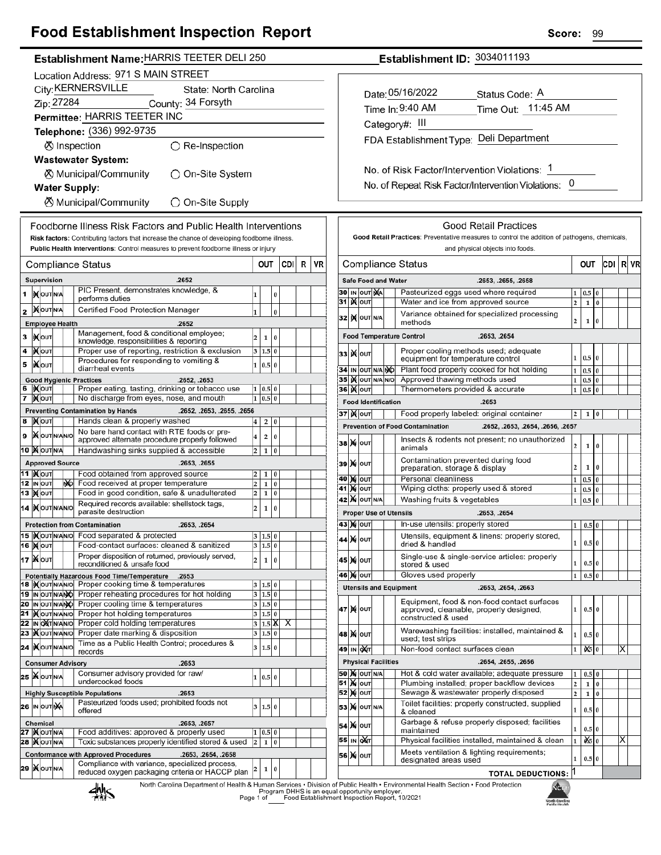## **Food Establishment Inspection Report**

| Establishment Name: HARRIS TEETER DELI 250                                                                                                 |                                                                                                                                                                                      |                         |                        |            |                |                                        |                                                    |                                  |                                   |                    | <b>Establishment ID: 3034011193</b> |                                                                            |                                                                                               |                                         |                                |                       |    |                |
|--------------------------------------------------------------------------------------------------------------------------------------------|--------------------------------------------------------------------------------------------------------------------------------------------------------------------------------------|-------------------------|------------------------|------------|----------------|----------------------------------------|----------------------------------------------------|----------------------------------|-----------------------------------|--------------------|-------------------------------------|----------------------------------------------------------------------------|-----------------------------------------------------------------------------------------------|-----------------------------------------|--------------------------------|-----------------------|----|----------------|
| Location Address: 971 S MAIN STREET                                                                                                        |                                                                                                                                                                                      |                         |                        |            |                |                                        |                                                    |                                  |                                   |                    |                                     |                                                                            |                                                                                               |                                         |                                |                       |    |                |
| City: KERNERSVILLE<br>State: North Carolina                                                                                                |                                                                                                                                                                                      |                         |                        |            |                |                                        |                                                    |                                  |                                   |                    |                                     |                                                                            |                                                                                               |                                         |                                |                       |    |                |
| Zip: 27284<br>County: 34 Forsyth                                                                                                           |                                                                                                                                                                                      |                         |                        |            |                |                                        | Date: 05/16/2022<br>Status Code: A                 |                                  |                                   |                    |                                     |                                                                            |                                                                                               |                                         |                                |                       |    |                |
| Permittee: HARRIS TEETER INC                                                                                                               |                                                                                                                                                                                      |                         |                        |            |                | Time In: 9:40 AM<br>Time Out: 11:45 AM |                                                    |                                  |                                   |                    |                                     |                                                                            |                                                                                               |                                         |                                |                       |    |                |
| Telephone: (336) 992-9735                                                                                                                  |                                                                                                                                                                                      |                         |                        |            | Category#: III |                                        |                                                    |                                  |                                   |                    |                                     |                                                                            |                                                                                               |                                         |                                |                       |    |                |
|                                                                                                                                            |                                                                                                                                                                                      |                         |                        |            |                |                                        | FDA Establishment Type: Deli Department            |                                  |                                   |                    |                                     |                                                                            |                                                                                               |                                         |                                |                       |    |                |
| ⊗ Inspection                                                                                                                               | $\bigcirc$ Re-Inspection                                                                                                                                                             |                         |                        |            |                |                                        |                                                    |                                  |                                   |                    |                                     |                                                                            |                                                                                               |                                         |                                |                       |    |                |
|                                                                                                                                            | <b>Wastewater System:</b>                                                                                                                                                            |                         |                        |            |                |                                        |                                                    |                                  |                                   |                    |                                     |                                                                            |                                                                                               |                                         |                                |                       |    |                |
|                                                                                                                                            | ◯ On-Site System<br>⊗ Municipal/Community                                                                                                                                            |                         |                        |            |                |                                        |                                                    |                                  |                                   |                    |                                     |                                                                            | No. of Risk Factor/Intervention Violations: 1                                                 |                                         |                                |                       |    |                |
| <b>Water Supply:</b>                                                                                                                       |                                                                                                                                                                                      |                         |                        |            |                |                                        |                                                    |                                  |                                   |                    |                                     |                                                                            | No. of Repeat Risk Factor/Intervention Violations: 0                                          |                                         |                                |                       |    |                |
|                                                                                                                                            | ⊗ Municipal/Community<br>◯ On-Site Supply                                                                                                                                            |                         |                        |            |                |                                        |                                                    |                                  |                                   |                    |                                     |                                                                            |                                                                                               |                                         |                                |                       |    |                |
|                                                                                                                                            |                                                                                                                                                                                      |                         |                        |            |                |                                        |                                                    |                                  |                                   |                    |                                     |                                                                            |                                                                                               |                                         |                                |                       |    |                |
|                                                                                                                                            | Foodborne Illness Risk Factors and Public Health Interventions                                                                                                                       |                         |                        |            |                |                                        | <b>Good Retail Practices</b>                       |                                  |                                   |                    |                                     |                                                                            |                                                                                               |                                         |                                |                       |    |                |
|                                                                                                                                            | Risk factors: Contributing factors that increase the chance of developing foodborne illness.<br>Public Health Interventions: Control measures to prevent foodborne illness or injury |                         |                        |            |                |                                        |                                                    |                                  |                                   |                    |                                     |                                                                            | Good Retail Practices: Preventative measures to control the addition of pathogens, chemicals, |                                         |                                |                       |    |                |
|                                                                                                                                            |                                                                                                                                                                                      |                         |                        |            |                |                                        |                                                    | and physical objects into foods. |                                   |                    |                                     |                                                                            |                                                                                               |                                         |                                |                       |    |                |
| <b>Compliance Status</b>                                                                                                                   |                                                                                                                                                                                      |                         | OUT                    | <b>CDI</b> | R              | VR                                     | <b>Compliance Status</b><br>$R$ VR<br>OUT<br>CDI I |                                  |                                   |                    |                                     |                                                                            |                                                                                               |                                         |                                |                       |    |                |
| Supervision                                                                                                                                | .2652                                                                                                                                                                                |                         |                        |            |                |                                        |                                                    |                                  |                                   |                    | <b>Safe Food and Water</b>          |                                                                            | .2653, .2655, .2658                                                                           |                                         |                                |                       |    |                |
| <b>XOUT NA</b>                                                                                                                             | PIC Present, demonstrates knowledge, &<br>performs duties                                                                                                                            | 1                       | $\pmb{0}$              |            |                |                                        |                                                    |                                  | 30 IN OUT NA<br>31   <b>X</b> out |                    |                                     | Pasteurized eggs used where required<br>Water and ice from approved source |                                                                                               |                                         | $1 \vert 0.5$                  | $\bf{0}$              |    |                |
| <b>XOUTNA</b>                                                                                                                              | Certified Food Protection Manager                                                                                                                                                    | 1                       | $\pmb{0}$              |            |                |                                        |                                                    |                                  |                                   |                    |                                     |                                                                            | Variance obtained for specialized processing                                                  | 2                                       | $\mathbf 1$                    | $\overline{0}$        |    |                |
| <b>Employee Health</b>                                                                                                                     | .2652                                                                                                                                                                                |                         |                        |            |                |                                        |                                                    |                                  | 32 K OUT N/A                      |                    |                                     | methods                                                                    |                                                                                               | 2                                       | $\mathbf{1}$                   | $\overline{0}$        |    |                |
| <b>IXOUT</b>                                                                                                                               | Management, food & conditional employee;                                                                                                                                             |                         | 2 1 <br>$\bf{0}$       |            |                |                                        |                                                    |                                  |                                   |                    |                                     | <b>Food Temperature Control</b>                                            | .2653, .2654                                                                                  |                                         |                                |                       |    |                |
| <b>XOUT</b>                                                                                                                                | knowledge, responsibilities & reporting<br>Proper use of reporting, restriction & exclusion                                                                                          |                         | 3   1.5   0            |            |                |                                        |                                                    |                                  |                                   |                    |                                     | Proper cooling methods used; adequate                                      |                                                                                               |                                         |                                |                       |    |                |
| <b>XOUT</b>                                                                                                                                | Procedures for responding to vomiting &                                                                                                                                              |                         | 1 0.5 0                |            |                |                                        |                                                    |                                  | <b>33 Молт</b>                    |                    |                                     | equipment for temperature control                                          |                                                                                               |                                         | $1 \t0.5 \t0$                  |                       |    |                |
|                                                                                                                                            | diarrheal events                                                                                                                                                                     |                         |                        |            |                |                                        |                                                    |                                  |                                   | 34 IN OUT N/A NO   |                                     |                                                                            | Plant food properly cooked for hot holding                                                    |                                         | $1 \mid 0.5 \mid 0$            |                       |    |                |
| <b>Good Hygienic Practices</b><br>IXOUT                                                                                                    | .2652, .2653<br>Proper eating, tasting, drinking or tobacco use                                                                                                                      |                         | 1   0.5   0            |            |                |                                        |                                                    |                                  | <b>36 ) о</b> лт                  | 35   X OUT N/A N/O |                                     | Approved thawing methods used<br>Thermometers provided & accurate          |                                                                                               |                                         | $1 \t0.5 \t0$<br>1 0.5         | l0                    |    |                |
| Х∣оυт                                                                                                                                      | No discharge from eyes, nose, and mouth                                                                                                                                              |                         | $1 \vert 0.5 \vert 0$  |            |                |                                        |                                                    |                                  |                                   |                    | <b>Food Identification</b>          |                                                                            | .2653                                                                                         |                                         |                                |                       |    |                |
|                                                                                                                                            | <b>Preventing Contamination by Hands</b><br>.2652, .2653, .2655, .2656                                                                                                               |                         |                        |            |                |                                        |                                                    |                                  | 37   N OUT                        |                    |                                     | Food properly labeled: original container                                  |                                                                                               | 2 <sup>1</sup>                          | 1 0                            |                       |    |                |
| <b>X</b> OUT                                                                                                                               | Hands clean & properly washed                                                                                                                                                        | $\overline{4}$          | 2 0                    |            |                |                                        |                                                    |                                  |                                   |                    |                                     | <b>Prevention of Food Contamination</b>                                    | .2652, .2653, .2654, .2656, .2657                                                             |                                         |                                |                       |    |                |
| <b>XOUTNANO</b>                                                                                                                            | No bare hand contact with RTE foods or pre-<br>approved alternate procedure properly followed                                                                                        | $\overline{\mathbf{4}}$ | 2 0                    |            |                |                                        |                                                    |                                  |                                   |                    |                                     |                                                                            | Insects & rodents not present; no unauthorized                                                |                                         |                                |                       |    |                |
| <b>0 X</b> OUTNA                                                                                                                           | Handwashing sinks supplied & accessible                                                                                                                                              |                         | $2 \mid 1 \mid 0$      |            |                |                                        |                                                    |                                  | <b>38 М</b> ОUТ                   |                    |                                     | animals                                                                    |                                                                                               | 2                                       | $1 \vert 0$                    |                       |    |                |
| <b>Approved Source</b>                                                                                                                     | .2653, .2655                                                                                                                                                                         |                         |                        |            |                |                                        |                                                    |                                  | 39 X OUT                          |                    |                                     | Contamination prevented during food                                        |                                                                                               |                                         |                                |                       |    |                |
| 1 XOUT                                                                                                                                     | Food obtained from approved source                                                                                                                                                   | 2                       | $1 \mid 0$             |            |                |                                        |                                                    |                                  |                                   |                    |                                     | preparation, storage & display<br>Personal cleanliness                     |                                                                                               | $\overline{a}$                          | $1 \quad 0$                    |                       |    |                |
| 2 IN OUT<br>NO.                                                                                                                            | Food received at proper temperature                                                                                                                                                  | $\overline{\mathbf{c}}$ | 1 0                    |            |                |                                        |                                                    |                                  | 40 M OUT<br>41 N OUT              |                    |                                     | Wiping cloths: properly used & stored                                      |                                                                                               |                                         | $1 \t0.5 \t0$<br>$1 \t0.5 \t0$ |                       |    |                |
| 3 Mour                                                                                                                                     | Food in good condition, safe & unadulterated                                                                                                                                         | $\overline{2}$          | 10                     |            |                |                                        |                                                    |                                  | <b>42 X OUT N/A</b>               |                    |                                     | Washing fruits & vegetables                                                |                                                                                               |                                         | 1 0.5                          | $\bf{0}$              |    |                |
| Required records available: shellstock tags,<br>$\overline{2}$<br>$\overline{0}$<br>4   OUT N/AN/O<br>$\mathbf{1}$<br>parasite destruction |                                                                                                                                                                                      |                         |                        |            |                |                                        | <b>Proper Use of Utensils</b><br>.2653, .2654      |                                  |                                   |                    |                                     |                                                                            |                                                                                               |                                         |                                |                       |    |                |
| <b>Protection from Contamination</b>                                                                                                       | .2653, .2654                                                                                                                                                                         |                         |                        |            |                |                                        |                                                    |                                  | <b>43 X OUT</b>                   |                    |                                     | In-use utensils: properly stored                                           |                                                                                               |                                         | 1   0.5   0                    |                       |    |                |
|                                                                                                                                            |                                                                                                                                                                                      |                         | 3   1.5   0            |            |                |                                        |                                                    |                                  | 44 X OUT                          |                    |                                     |                                                                            | Utensils, equipment & linens: properly stored,                                                |                                         |                                |                       |    |                |
| 6 Mout                                                                                                                                     | Food-contact surfaces: cleaned & sanitized                                                                                                                                           |                         | 3 1.5 0                |            |                |                                        |                                                    |                                  |                                   |                    |                                     | dried & handled                                                            |                                                                                               | $1\vert$                                | $0.5$ 0                        |                       |    |                |
| <b>7   NOUT</b>                                                                                                                            | Proper disposition of returned, previously served,<br>reconditioned & unsafe food                                                                                                    | $\overline{a}$          | 1 0                    |            |                |                                        |                                                    |                                  | 45 X OUT                          |                    |                                     | stored & used                                                              | Single-use & single-service articles: properly                                                | $1\vert$                                | $0.5$ 0                        |                       |    |                |
|                                                                                                                                            | <b>Potentially Hazardous Food Time/Temperature</b><br>.2653                                                                                                                          |                         |                        |            |                |                                        |                                                    |                                  | 46 X OUT                          |                    |                                     | Gloves used properly                                                       |                                                                                               | $\mathbf{1}$                            | $0.5\vert 0$                   |                       |    |                |
|                                                                                                                                            | 8 Mourwal Proper cooking time & temperatures                                                                                                                                         |                         | 3   1.5   0            |            |                |                                        |                                                    |                                  |                                   |                    |                                     | <b>Utensils and Equipment</b>                                              | .2653, .2654, .2663                                                                           |                                         |                                |                       |    |                |
|                                                                                                                                            | 9 IN OUT N/ANO Proper reheating procedures for hot holding<br>0 In out NANO Proper cooling time & temperatures                                                                       |                         | 3 1.5 0<br>3   1.5   0 |            |                |                                        |                                                    |                                  |                                   |                    |                                     |                                                                            | Equipment, food & non-food contact surfaces                                                   |                                         |                                |                       |    |                |
|                                                                                                                                            | 1 Mourwawol Proper hot holding temperatures                                                                                                                                          |                         | 3   1.5   0            |            |                |                                        |                                                    |                                  | 47 M OUT                          |                    |                                     | approved, cleanable, properly designed,<br>constructed & used              |                                                                                               | 1                                       | $0.5 \ 0$                      |                       |    |                |
|                                                                                                                                            | 2 In OXTINANIO Proper cold holding temperatures                                                                                                                                      |                         |                        | 3 1.5 X X  |                |                                        |                                                    |                                  |                                   |                    |                                     |                                                                            |                                                                                               |                                         |                                |                       |    |                |
|                                                                                                                                            | 3   Nout NAN O Proper date marking & disposition<br>Time as a Public Health Control; procedures &                                                                                    |                         | 3   1.5   0            |            |                |                                        |                                                    |                                  | 48 X OUT                          |                    |                                     | used; test strips                                                          | Warewashing facilities: installed, maintained &                                               | $\mathbf{1}$                            | $0.5$ 0                        |                       |    |                |
| 4 XOUTNANO                                                                                                                                 | records                                                                                                                                                                              |                         | 3   1.5   0            |            |                |                                        |                                                    |                                  | 49 IN OXT                         |                    |                                     | Non-food contact surfaces clean                                            |                                                                                               |                                         |                                |                       |    | $ \mathsf{X} $ |
| <b>Consumer Advisory</b>                                                                                                                   | .2653                                                                                                                                                                                |                         |                        |            |                |                                        |                                                    |                                  |                                   |                    | <b>Physical Facilities</b>          |                                                                            | .2654, .2655, .2656                                                                           |                                         |                                |                       |    |                |
| 5 <b>WOUT NA</b>                                                                                                                           | Consumer advisory provided for raw/<br>undercooked foods                                                                                                                             |                         | 1   0.5   0            |            |                |                                        |                                                    |                                  | <b>50 X OUT N/A</b>               |                    |                                     |                                                                            | Hot & cold water available; adequate pressure                                                 |                                         | $0.5$ 0                        |                       |    |                |
| <b>Highly Susceptible Populations</b>                                                                                                      | .2653                                                                                                                                                                                |                         |                        |            |                |                                        |                                                    |                                  | <b>51 M OUT</b><br><b>52 MOUT</b> |                    |                                     | Sewage & wastewater properly disposed                                      | Plumbing installed; proper backflow devices                                                   | $\mathbf{2}$<br>$\overline{\mathbf{c}}$ | $\mathbf 1$<br>$1\,$           | $\vert$ 0<br>$\bf{0}$ |    |                |
| <b>6 IN OUT NA</b>                                                                                                                         | Pasteurized foods used; prohibited foods not                                                                                                                                         |                         | 3   1.5   0            |            |                |                                        |                                                    |                                  | <b>53 X OUT N/A</b>               |                    |                                     |                                                                            | Toilet facilities: properly constructed, supplied                                             |                                         |                                |                       |    |                |
|                                                                                                                                            | offered                                                                                                                                                                              |                         |                        |            |                |                                        |                                                    |                                  |                                   |                    |                                     | & cleaned                                                                  |                                                                                               | 1                                       | $0.5$ 0                        |                       |    |                |
| Chemical<br>7 XOUTNA                                                                                                                       | .2653, .2657<br>Food additives: approved & properly used                                                                                                                             |                         | 1   0.5   0            |            |                |                                        |                                                    |                                  | <b>54 A OUT</b>                   |                    |                                     | maintained                                                                 | Garbage & refuse properly disposed; facilities                                                | 1.                                      | $0.5$ 0                        |                       |    |                |
| <b>8 MOUTNA</b>                                                                                                                            | Toxic substances properly identified stored & used                                                                                                                                   | $\overline{2}$          | $1\vert 0$             |            |                |                                        |                                                    |                                  | 55 IN OUT                         |                    |                                     |                                                                            | Physical facilities installed, maintained & clean                                             | $\mathbf{1}$                            | $x = 0$                        |                       | ΙX |                |
|                                                                                                                                            | <b>Conformance with Approved Procedures</b><br>.2653, .2654, .2658                                                                                                                   |                         |                        |            |                |                                        |                                                    |                                  | <b>56 X OUT</b>                   |                    |                                     | Meets ventilation & lighting requirements;                                 |                                                                                               |                                         |                                |                       |    |                |
| :9  X OUTN/A                                                                                                                               | Compliance with variance, specialized process,                                                                                                                                       | 2                       | 1 0                    |            |                |                                        |                                                    |                                  |                                   |                    |                                     | designated areas used                                                      |                                                                                               | 1                                       | $0.5$ 0                        |                       |    |                |
|                                                                                                                                            | reduced oxygen packaging criteria or HACCP plan                                                                                                                                      |                         |                        |            |                |                                        |                                                    |                                  |                                   |                    |                                     |                                                                            | <b>TOTAL DEDUCTIONS: 1</b>                                                                    |                                         |                                |                       |    |                |

**TOTAL DEDUCTIONS:** 



**29 | OUT N/A** 

> ۱ĥ **North Caroline**<br>Public Health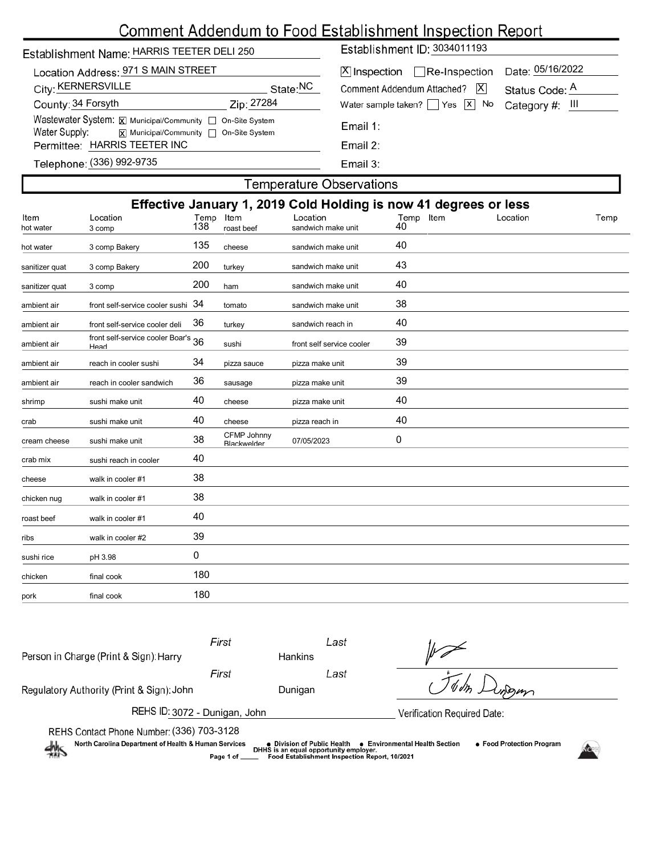# Comment Addendum to Food Establishment Inspection Report

| Establishment Name: HARRIS TEETER DELI 250                                                                                                         | Establishment ID: 3034011193                                                                                           |  |  |  |  |  |  |  |
|----------------------------------------------------------------------------------------------------------------------------------------------------|------------------------------------------------------------------------------------------------------------------------|--|--|--|--|--|--|--|
| Location Address: 971 S MAIN STREET<br>City: KERNERSVILLE<br>State: <sup>NC</sup>                                                                  | Date: 05/16/2022<br>$ \mathsf{X} $ Inspection $\Box$ Re-Inspection<br>Comment Addendum Attached?   X<br>Status Code: A |  |  |  |  |  |  |  |
| County: 34 Forsyth<br>Zip: 27284                                                                                                                   | Water sample taken? $\Box$ Yes $\boxed{x}$ No Category #: III                                                          |  |  |  |  |  |  |  |
| Wastewater System: $\boxtimes$ Municipal/Community $\Box$ On-Site System<br>Water Supply: $\overline{x}$ Municipal/Community $\Box$ On-Site System | Email 1:                                                                                                               |  |  |  |  |  |  |  |
| Permittee: HARRIS TEETER INC                                                                                                                       | Email 2:                                                                                                               |  |  |  |  |  |  |  |
| Telephone: (336) 992-9735                                                                                                                          | Email $3:$                                                                                                             |  |  |  |  |  |  |  |
| <b>Temperature Observations</b>                                                                                                                    |                                                                                                                        |  |  |  |  |  |  |  |

|                   | Effective January 1, 2019 Cold Holding is now 41 degrees or less |             |                                   |                                |                    |          |      |  |  |
|-------------------|------------------------------------------------------------------|-------------|-----------------------------------|--------------------------------|--------------------|----------|------|--|--|
| Item<br>hot water | Location<br>3 comp                                               | Temp<br>138 | Item<br>roast beef                | Location<br>sandwich make unit | Item<br>Temp<br>40 | Location | Temp |  |  |
| hot water         | 3 comp Bakery                                                    | 135         | cheese                            | sandwich make unit             | 40                 |          |      |  |  |
| sanitizer quat    | 3 comp Bakery                                                    | 200         | turkey                            | sandwich make unit             | 43                 |          |      |  |  |
| sanitizer quat    | 3 comp                                                           | 200         | ham                               | sandwich make unit             | 40                 |          |      |  |  |
| ambient air       | front self-service cooler sushi                                  | 34          | tomato                            | sandwich make unit             | 38                 |          |      |  |  |
| ambient air       | front self-service cooler deli                                   | 36          | turkey                            | sandwich reach in              | 40                 |          |      |  |  |
| ambient air       | front self-service cooler Boar's 36<br>Head                      |             | sushi                             | front self service cooler      | 39                 |          |      |  |  |
| ambient air       | reach in cooler sushi                                            | 34          | pizza sauce                       | pizza make unit                | 39                 |          |      |  |  |
| ambient air       | reach in cooler sandwich                                         | 36          | sausage                           | pizza make unit                | 39                 |          |      |  |  |
| shrimp            | sushi make unit                                                  | 40          | cheese                            | pizza make unit                | 40                 |          |      |  |  |
| crab              | sushi make unit                                                  | 40          | cheese                            | pizza reach in                 | 40                 |          |      |  |  |
| cream cheese      | sushi make unit                                                  | 38          | CFMP Johnny<br><b>Blackwelder</b> | 07/05/2023                     | 0                  |          |      |  |  |
| crab mix          | sushi reach in cooler                                            | 40          |                                   |                                |                    |          |      |  |  |
| cheese            | walk in cooler #1                                                | 38          |                                   |                                |                    |          |      |  |  |
| chicken nug       | walk in cooler #1                                                | 38          |                                   |                                |                    |          |      |  |  |
| roast beef        | walk in cooler #1                                                | 40          |                                   |                                |                    |          |      |  |  |
| ribs              | walk in cooler #2                                                | 39          |                                   |                                |                    |          |      |  |  |
| sushi rice        | pH 3.98                                                          | 0           |                                   |                                |                    |          |      |  |  |
| chicken           | final cook                                                       | 180         |                                   |                                |                    |          |      |  |  |
| pork              | final cook                                                       | 180         |                                   |                                |                    |          |      |  |  |
|                   |                                                                  |             |                                   |                                |                    |          |      |  |  |

| Person in Charge (Print & Sign): Harry                                                                                                                                                                                                                                                                                              | First | Hankins | Last |  |  |  |  |
|-------------------------------------------------------------------------------------------------------------------------------------------------------------------------------------------------------------------------------------------------------------------------------------------------------------------------------------|-------|---------|------|--|--|--|--|
|                                                                                                                                                                                                                                                                                                                                     | First |         | Last |  |  |  |  |
| Regulatory Authority (Print & Sign): John                                                                                                                                                                                                                                                                                           |       | Dunigan |      |  |  |  |  |
| REHS ID: 3072 - Dunigan, John<br>Verification Required Date:                                                                                                                                                                                                                                                                        |       |         |      |  |  |  |  |
| REHS Contact Phone Number: (336) 703-3128<br>North Carolina Department of Health & Human Services<br>• Food Protection Program<br><b>Environmental Health Section</b><br>● Division of Public Health<br>$\frac{1}{2}$<br>DHHS is an equal opportunity employer.<br>Food Establishment Inspection Report, 10/2021<br>Page 1 of _____ |       |         |      |  |  |  |  |